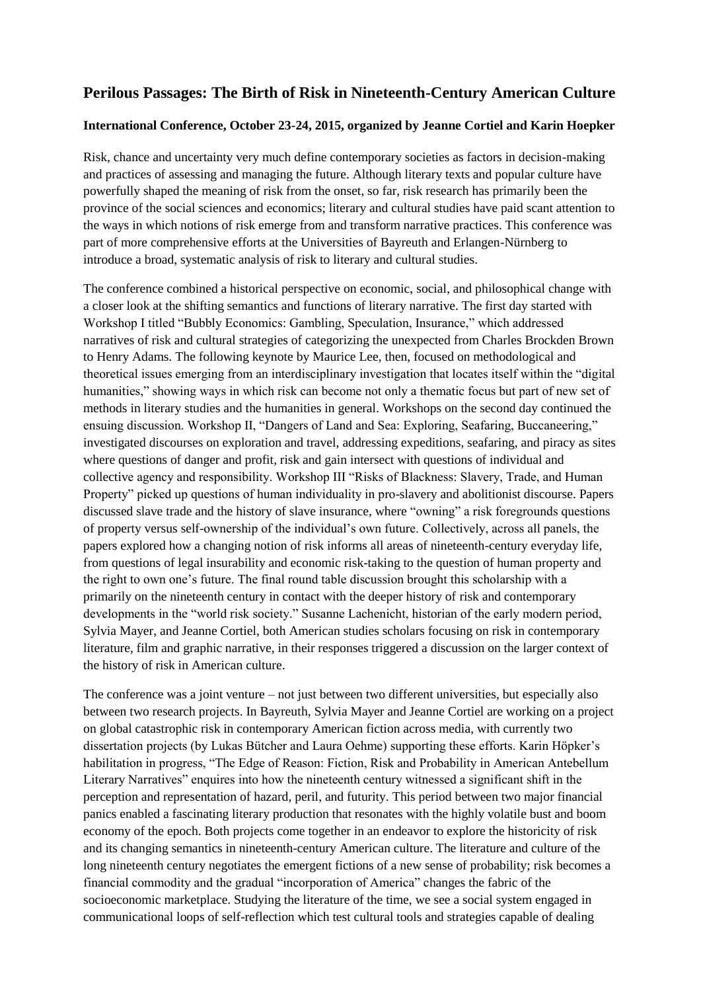## **Perilous Passages: The Birth of Risk in Nineteenth-Century American Culture**

## **International Conference, October 23-24, 2015, organized by Jeanne Cortiel and Karin Hoepker**

Risk, chance and uncertainty very much define contemporary societies as factors in decision-making and practices of assessing and managing the future. Although literary texts and popular culture have powerfully shaped the meaning of risk from the onset, so far, risk research has primarily been the province of the social sciences and economics; literary and cultural studies have paid scant attention to the ways in which notions of risk emerge from and transform narrative practices. This conference was part of more comprehensive efforts at the Universities of Bayreuth and Erlangen-Nürnberg to introduce a broad, systematic analysis of risk to literary and cultural studies.

The conference combined a historical perspective on economic, social, and philosophical change with a closer look at the shifting semantics and functions of literary narrative. The first day started with Workshop I titled "Bubbly Economics: Gambling, Speculation, Insurance," which addressed narratives of risk and cultural strategies of categorizing the unexpected from Charles Brockden Brown to Henry Adams. The following keynote by Maurice Lee, then, focused on methodological and theoretical issues emerging from an interdisciplinary investigation that locates itself within the "digital humanities," showing ways in which risk can become not only a thematic focus but part of new set of methods in literary studies and the humanities in general. Workshops on the second day continued the ensuing discussion. Workshop II, "Dangers of Land and Sea: Exploring, Seafaring, Buccaneering," investigated discourses on exploration and travel, addressing expeditions, seafaring, and piracy as sites where questions of danger and profit, risk and gain intersect with questions of individual and collective agency and responsibility. Workshop III "Risks of Blackness: Slavery, Trade, and Human Property" picked up questions of human individuality in pro-slavery and abolitionist discourse. Papers discussed slave trade and the history of slave insurance, where "owning" a risk foregrounds questions of property versus self-ownership of the individual's own future. Collectively, across all panels, the papers explored how a changing notion of risk informs all areas of nineteenth-century everyday life, from questions of legal insurability and economic risk-taking to the question of human property and the right to own one's future. The final round table discussion brought this scholarship with a primarily on the nineteenth century in contact with the deeper history of risk and contemporary developments in the "world risk society." Susanne Lachenicht, historian of the early modern period, Sylvia Mayer, and Jeanne Cortiel, both American studies scholars focusing on risk in contemporary literature, film and graphic narrative, in their responses triggered a discussion on the larger context of the history of risk in American culture.

The conference was a joint venture – not just between two different universities, but especially also between two research projects. In Bayreuth, Sylvia Mayer and Jeanne Cortiel are working on a project on global catastrophic risk in contemporary American fiction across media, with currently two dissertation projects (by Lukas Bütcher and Laura Oehme) supporting these efforts. Karin Höpker's habilitation in progress, "The Edge of Reason: Fiction, Risk and Probability in American Antebellum Literary Narratives" enquires into how the nineteenth century witnessed a significant shift in the perception and representation of hazard, peril, and futurity. This period between two major financial panics enabled a fascinating literary production that resonates with the highly volatile bust and boom economy of the epoch. Both projects come together in an endeavor to explore the historicity of risk and its changing semantics in nineteenth-century American culture. The literature and culture of the long nineteenth century negotiates the emergent fictions of a new sense of probability; risk becomes a financial commodity and the gradual "incorporation of America" changes the fabric of the socioeconomic marketplace. Studying the literature of the time, we see a social system engaged in communicational loops of self-reflection which test cultural tools and strategies capable of dealing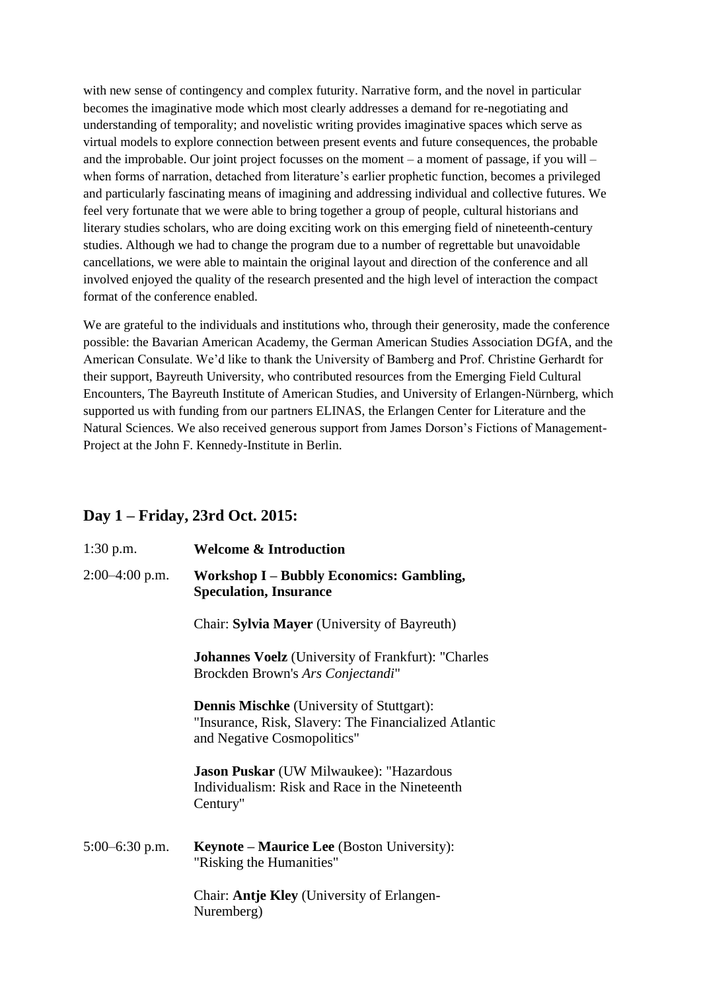with new sense of contingency and complex futurity. Narrative form, and the novel in particular becomes the imaginative mode which most clearly addresses a demand for re-negotiating and understanding of temporality; and novelistic writing provides imaginative spaces which serve as virtual models to explore connection between present events and future consequences, the probable and the improbable. Our joint project focusses on the moment – a moment of passage, if you will – when forms of narration, detached from literature's earlier prophetic function, becomes a privileged and particularly fascinating means of imagining and addressing individual and collective futures. We feel very fortunate that we were able to bring together a group of people, cultural historians and literary studies scholars, who are doing exciting work on this emerging field of nineteenth-century studies. Although we had to change the program due to a number of regrettable but unavoidable cancellations, we were able to maintain the original layout and direction of the conference and all involved enjoyed the quality of the research presented and the high level of interaction the compact format of the conference enabled.

We are grateful to the individuals and institutions who, through their generosity, made the conference possible: the Bavarian American Academy, the German American Studies Association DGfA, and the American Consulate. We'd like to thank the University of Bamberg and Prof. Christine Gerhardt for their support, Bayreuth University, who contributed resources from the Emerging Field Cultural Encounters, The Bayreuth Institute of American Studies, and University of Erlangen-Nürnberg, which supported us with funding from our partners ELINAS, the Erlangen Center for Literature and the Natural Sciences. We also received generous support from James Dorson's Fictions of Management-Project at the John F. Kennedy-Institute in Berlin.

## **Day 1 – Friday, 23rd Oct. 2015:**

| $1:30$ p.m.      | <b>Welcome &amp; Introduction</b>                                                                                                        |
|------------------|------------------------------------------------------------------------------------------------------------------------------------------|
| $2:00-4:00$ p.m. | <b>Workshop I - Bubbly Economics: Gambling,</b><br><b>Speculation, Insurance</b>                                                         |
|                  | Chair: Sylvia Mayer (University of Bayreuth)                                                                                             |
|                  | <b>Johannes Voelz</b> (University of Frankfurt): "Charles<br>Brockden Brown's Ars Conjectandi"                                           |
|                  | <b>Dennis Mischke</b> (University of Stuttgart):<br>"Insurance, Risk, Slavery: The Financialized Atlantic<br>and Negative Cosmopolitics" |
|                  | <b>Jason Puskar</b> (UW Milwaukee): "Hazardous<br>Individualism: Risk and Race in the Nineteenth<br>Century"                             |
| $5:00-6:30$ p.m. | <b>Keynote – Maurice Lee</b> (Boston University):<br>"Risking the Humanities"                                                            |
|                  | Chair: <b>Antje Kley</b> (University of Erlangen-<br>Nuremberg)                                                                          |